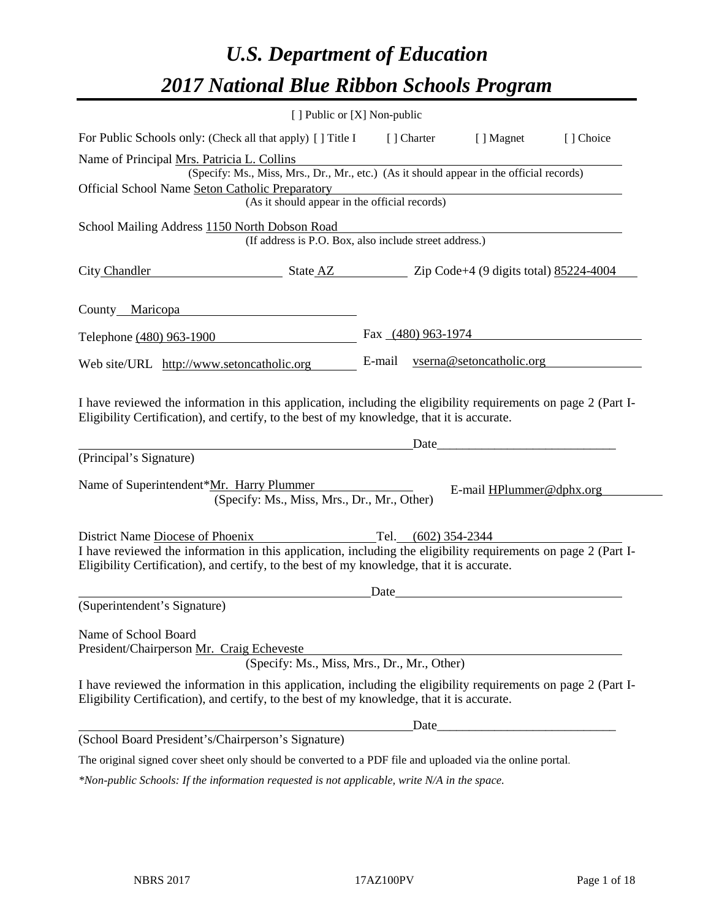# *U.S. Department of Education 2017 National Blue Ribbon Schools Program*

| [ ] Public or [X] Non-public                                                                                                                                                                                                                                              |        |             |                                 |           |
|---------------------------------------------------------------------------------------------------------------------------------------------------------------------------------------------------------------------------------------------------------------------------|--------|-------------|---------------------------------|-----------|
| For Public Schools only: (Check all that apply) [ ] Title I                                                                                                                                                                                                               |        | [ ] Charter | [ ] Magnet                      | [] Choice |
| Name of Principal Mrs. Patricia L. Collins<br>(Specify: Ms., Miss, Mrs., Dr., Mr., etc.) (As it should appear in the official records)                                                                                                                                    |        |             |                                 |           |
| Official School Name Seton Catholic Preparatory                                                                                                                                                                                                                           |        |             |                                 |           |
| (As it should appear in the official records)                                                                                                                                                                                                                             |        |             |                                 |           |
| School Mailing Address 1150 North Dobson Road<br>(If address is P.O. Box, also include street address.)                                                                                                                                                                   |        |             |                                 |           |
| City Chandler<br>$\frac{1}{2}$ State AZ $\frac{1}{2}$ Zip Code+4 (9 digits total) 85224-4004                                                                                                                                                                              |        |             |                                 |           |
| County Maricopa                                                                                                                                                                                                                                                           |        |             |                                 |           |
| Telephone (480) 963-1900                                                                                                                                                                                                                                                  |        |             | Fax $(480)$ 963-1974            |           |
| Web site/URL http://www.setoncatholic.org                                                                                                                                                                                                                                 | E-mail |             | vserna@setoncatholic.org        |           |
| Eligibility Certification), and certify, to the best of my knowledge, that it is accurate.<br>(Principal's Signature)                                                                                                                                                     |        | Date        |                                 |           |
| Name of Superintendent*Mr. Harry Plummer<br>(Specify: Ms., Miss, Mrs., Dr., Mr., Other)                                                                                                                                                                                   |        |             | E-mail <b>HPlummer@dphx.org</b> |           |
| District Name Diocese of Phoenix<br>Tel. $(602)$ 354-2344<br>I have reviewed the information in this application, including the eligibility requirements on page 2 (Part I-<br>Eligibility Certification), and certify, to the best of my knowledge, that it is accurate. |        |             |                                 |           |
|                                                                                                                                                                                                                                                                           | Date   |             |                                 |           |
| (Superintendent's Signature)                                                                                                                                                                                                                                              |        |             |                                 |           |
| Name of School Board<br>President/Chairperson Mr. Craig Echeveste<br>(Specify: Ms., Miss, Mrs., Dr., Mr., Other)                                                                                                                                                          |        |             |                                 |           |
| I have reviewed the information in this application, including the eligibility requirements on page 2 (Part I-<br>Eligibility Certification), and certify, to the best of my knowledge, that it is accurate.                                                              |        |             |                                 |           |
|                                                                                                                                                                                                                                                                           |        | Date        |                                 |           |
| (School Board President's/Chairperson's Signature)                                                                                                                                                                                                                        |        |             |                                 |           |
| The original signed cover sheet only should be converted to a PDF file and uploaded via the online portal.                                                                                                                                                                |        |             |                                 |           |

*\*Non-public Schools: If the information requested is not applicable, write N/A in the space.*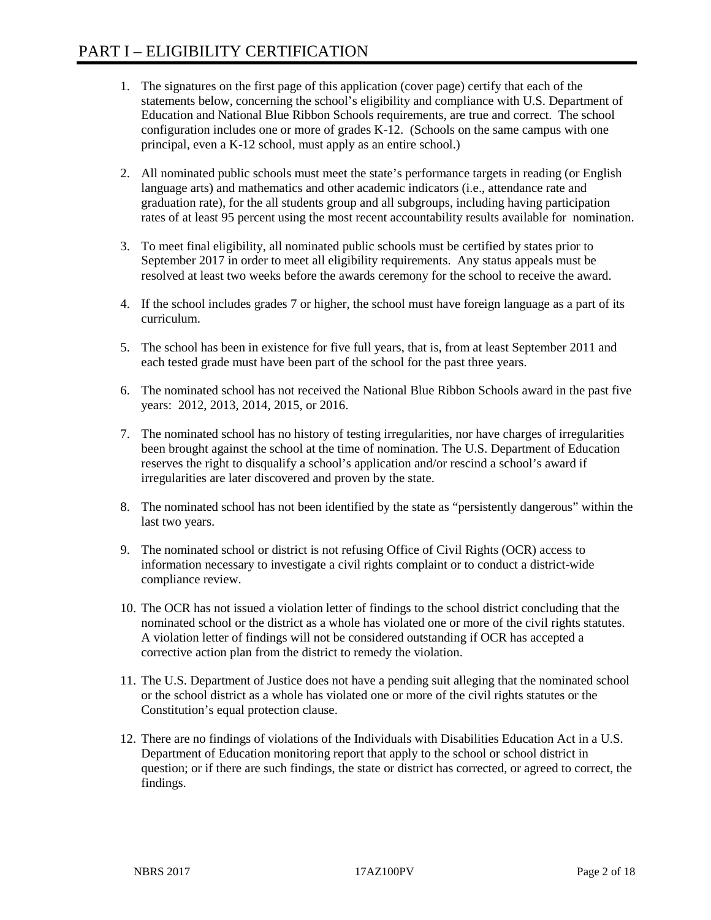- 1. The signatures on the first page of this application (cover page) certify that each of the statements below, concerning the school's eligibility and compliance with U.S. Department of Education and National Blue Ribbon Schools requirements, are true and correct. The school configuration includes one or more of grades K-12. (Schools on the same campus with one principal, even a K-12 school, must apply as an entire school.)
- 2. All nominated public schools must meet the state's performance targets in reading (or English language arts) and mathematics and other academic indicators (i.e., attendance rate and graduation rate), for the all students group and all subgroups, including having participation rates of at least 95 percent using the most recent accountability results available for nomination.
- 3. To meet final eligibility, all nominated public schools must be certified by states prior to September 2017 in order to meet all eligibility requirements. Any status appeals must be resolved at least two weeks before the awards ceremony for the school to receive the award.
- 4. If the school includes grades 7 or higher, the school must have foreign language as a part of its curriculum.
- 5. The school has been in existence for five full years, that is, from at least September 2011 and each tested grade must have been part of the school for the past three years.
- 6. The nominated school has not received the National Blue Ribbon Schools award in the past five years: 2012, 2013, 2014, 2015, or 2016.
- 7. The nominated school has no history of testing irregularities, nor have charges of irregularities been brought against the school at the time of nomination. The U.S. Department of Education reserves the right to disqualify a school's application and/or rescind a school's award if irregularities are later discovered and proven by the state.
- 8. The nominated school has not been identified by the state as "persistently dangerous" within the last two years.
- 9. The nominated school or district is not refusing Office of Civil Rights (OCR) access to information necessary to investigate a civil rights complaint or to conduct a district-wide compliance review.
- 10. The OCR has not issued a violation letter of findings to the school district concluding that the nominated school or the district as a whole has violated one or more of the civil rights statutes. A violation letter of findings will not be considered outstanding if OCR has accepted a corrective action plan from the district to remedy the violation.
- 11. The U.S. Department of Justice does not have a pending suit alleging that the nominated school or the school district as a whole has violated one or more of the civil rights statutes or the Constitution's equal protection clause.
- 12. There are no findings of violations of the Individuals with Disabilities Education Act in a U.S. Department of Education monitoring report that apply to the school or school district in question; or if there are such findings, the state or district has corrected, or agreed to correct, the findings.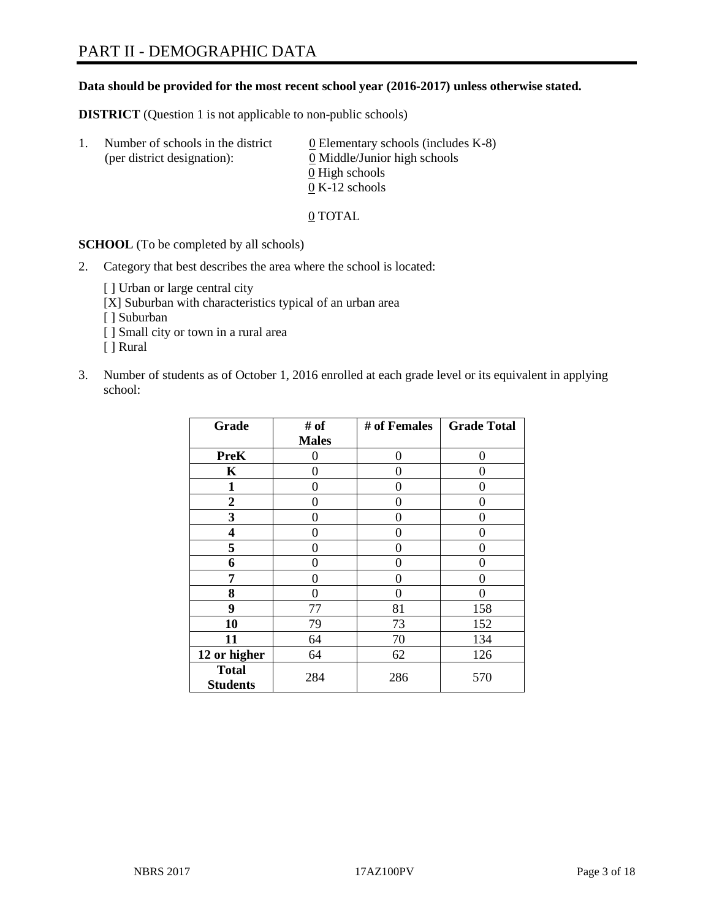#### **Data should be provided for the most recent school year (2016-2017) unless otherwise stated.**

**DISTRICT** (Question 1 is not applicable to non-public schools)

| -1. | Number of schools in the district<br>(per district designation): | $\underline{0}$ Elementary schools (includes K-8)<br>0 Middle/Junior high schools |
|-----|------------------------------------------------------------------|-----------------------------------------------------------------------------------|
|     |                                                                  | 0 High schools                                                                    |
|     |                                                                  | $0 K-12$ schools                                                                  |

0 TOTAL

**SCHOOL** (To be completed by all schools)

2. Category that best describes the area where the school is located:

[] Urban or large central city

[X] Suburban with characteristics typical of an urban area

[ ] Suburban

- [ ] Small city or town in a rural area
- [ ] Rural
- 3. Number of students as of October 1, 2016 enrolled at each grade level or its equivalent in applying school:

| Grade                           | # of           | # of Females | <b>Grade Total</b> |
|---------------------------------|----------------|--------------|--------------------|
|                                 | <b>Males</b>   |              |                    |
| <b>PreK</b>                     | 0              | 0            | 0                  |
| K                               | 0              | 0            | 0                  |
| $\mathbf{1}$                    | 0              | 0            | 0                  |
| $\boldsymbol{2}$                | 0              | 0            | 0                  |
| 3                               | 0              | 0            | 0                  |
| 4                               | 0              | 0            | 0                  |
| 5                               | 0              | 0            | 0                  |
| 6                               | 0              | 0            | 0                  |
| 7                               | 0              | 0            | 0                  |
| 8                               | $\overline{0}$ | 0            | 0                  |
| 9                               | 77             | 81           | 158                |
| 10                              | 79             | 73           | 152                |
| 11                              | 64             | 70           | 134                |
| 12 or higher                    | 64             | 62           | 126                |
| <b>Total</b><br><b>Students</b> | 284            | 286          | 570                |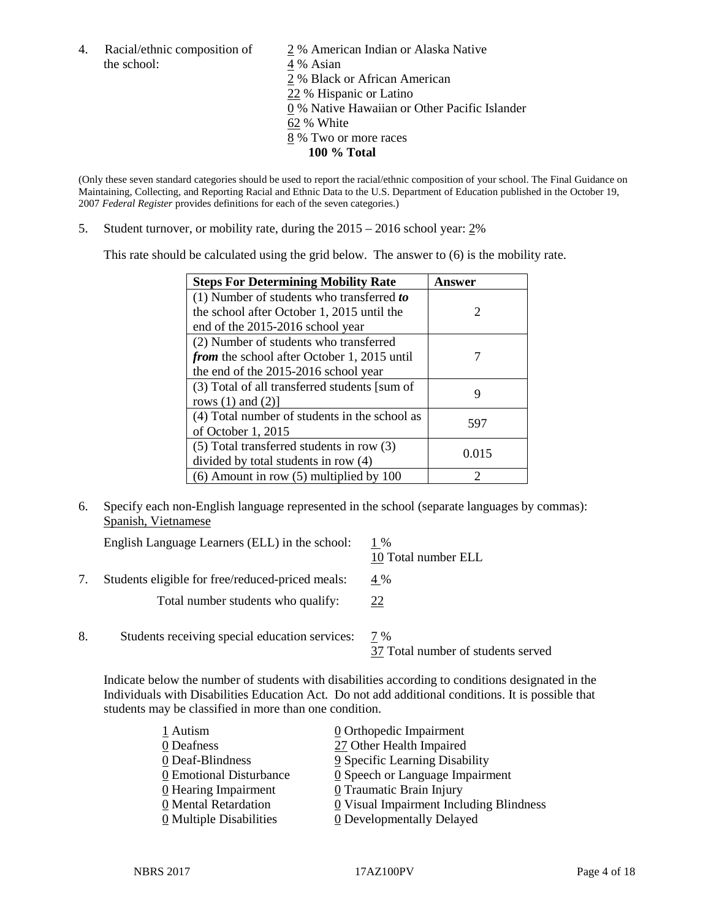the school:  $4\%$  Asian

4. Racial/ethnic composition of  $\frac{2}{9}$ % American Indian or Alaska Native 2 % Black or African American 22 % Hispanic or Latino 0 % Native Hawaiian or Other Pacific Islander 62 % White 8 % Two or more races **100 % Total**

(Only these seven standard categories should be used to report the racial/ethnic composition of your school. The Final Guidance on Maintaining, Collecting, and Reporting Racial and Ethnic Data to the U.S. Department of Education published in the October 19, 2007 *Federal Register* provides definitions for each of the seven categories.)

5. Student turnover, or mobility rate, during the 2015 – 2016 school year: 2%

This rate should be calculated using the grid below. The answer to (6) is the mobility rate.

| <b>Steps For Determining Mobility Rate</b>         | Answer |
|----------------------------------------------------|--------|
| (1) Number of students who transferred to          |        |
| the school after October 1, 2015 until the         | 2      |
| end of the 2015-2016 school year                   |        |
| (2) Number of students who transferred             |        |
| <i>from</i> the school after October 1, 2015 until |        |
| the end of the 2015-2016 school year               |        |
| (3) Total of all transferred students [sum of      | 9      |
| rows $(1)$ and $(2)$ ]                             |        |
| (4) Total number of students in the school as      |        |
| of October 1, 2015                                 | 597    |
| $(5)$ Total transferred students in row $(3)$      |        |
| divided by total students in row (4)               | 0.015  |
| $(6)$ Amount in row $(5)$ multiplied by 100        | っ      |

6. Specify each non-English language represented in the school (separate languages by commas): Spanish, Vietnamese

|    | English Language Learners (ELL) in the school:   | 1 %<br>10 Total number ELL                |
|----|--------------------------------------------------|-------------------------------------------|
|    | Students eligible for free/reduced-priced meals: | 4 %                                       |
|    | Total number students who qualify:               | 22                                        |
| 8. | Students receiving special education services:   | 7 %<br>37 Total number of students served |

Indicate below the number of students with disabilities according to conditions designated in the Individuals with Disabilities Education Act. Do not add additional conditions. It is possible that students may be classified in more than one condition.

| 1 Autism                              | 0 Orthopedic Impairment                       |
|---------------------------------------|-----------------------------------------------|
| 0 Deafness                            | 27 Other Health Impaired                      |
| 0 Deaf-Blindness                      | 9 Specific Learning Disability                |
| 0 Emotional Disturbance               | $\underline{0}$ Speech or Language Impairment |
| $\underline{0}$ Hearing Impairment    | 0 Traumatic Brain Injury                      |
| 0 Mental Retardation                  | $Q$ Visual Impairment Including Blindness     |
| $\underline{0}$ Multiple Disabilities | <b>0</b> Developmentally Delayed              |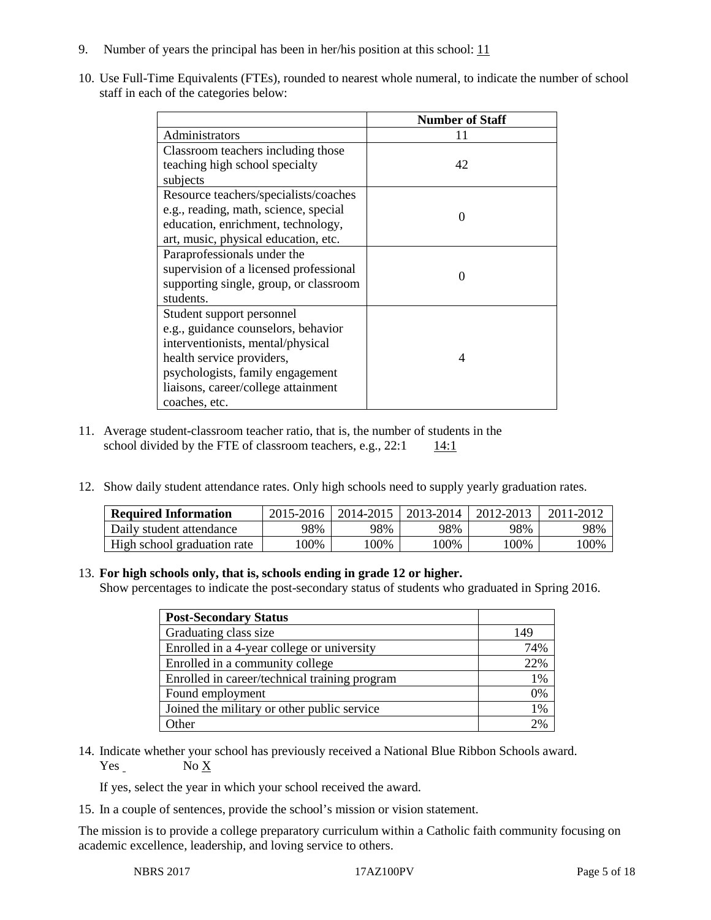- 9. Number of years the principal has been in her/his position at this school:  $11$
- 10. Use Full-Time Equivalents (FTEs), rounded to nearest whole numeral, to indicate the number of school staff in each of the categories below:

|                                        | <b>Number of Staff</b> |
|----------------------------------------|------------------------|
| Administrators                         | 11                     |
| Classroom teachers including those     |                        |
| teaching high school specialty         | 42                     |
| subjects                               |                        |
| Resource teachers/specialists/coaches  |                        |
| e.g., reading, math, science, special  | ∩                      |
| education, enrichment, technology,     |                        |
| art, music, physical education, etc.   |                        |
| Paraprofessionals under the            |                        |
| supervision of a licensed professional |                        |
| supporting single, group, or classroom |                        |
| students.                              |                        |
| Student support personnel              |                        |
| e.g., guidance counselors, behavior    |                        |
| interventionists, mental/physical      |                        |
| health service providers,              | 4                      |
| psychologists, family engagement       |                        |
| liaisons, career/college attainment    |                        |
| coaches, etc.                          |                        |

- 11. Average student-classroom teacher ratio, that is, the number of students in the school divided by the FTE of classroom teachers, e.g.,  $22:1$  14:1
- 12. Show daily student attendance rates. Only high schools need to supply yearly graduation rates.

| <b>Required Information</b> | 2015-2016 | 2014-2015 | 2013-2014 | 2012-2013 | 2011-2012 |
|-----------------------------|-----------|-----------|-----------|-----------|-----------|
| Daily student attendance    | 98%       | 98%       | 98%       | 98%       | 98%       |
| High school graduation rate | 00%       | 00%       | 00%       | $00\%$    | !00%      |

#### 13. **For high schools only, that is, schools ending in grade 12 or higher.**

Show percentages to indicate the post-secondary status of students who graduated in Spring 2016.

| <b>Post-Secondary Status</b>                  |     |
|-----------------------------------------------|-----|
| Graduating class size                         | 149 |
| Enrolled in a 4-year college or university    | 74% |
| Enrolled in a community college               | 22% |
| Enrolled in career/technical training program | 1%  |
| Found employment                              | 0%  |
| Joined the military or other public service   | 1%  |
| Other                                         | 2%  |

14. Indicate whether your school has previously received a National Blue Ribbon Schools award. Yes No X

If yes, select the year in which your school received the award.

15. In a couple of sentences, provide the school's mission or vision statement.

The mission is to provide a college preparatory curriculum within a Catholic faith community focusing on academic excellence, leadership, and loving service to others.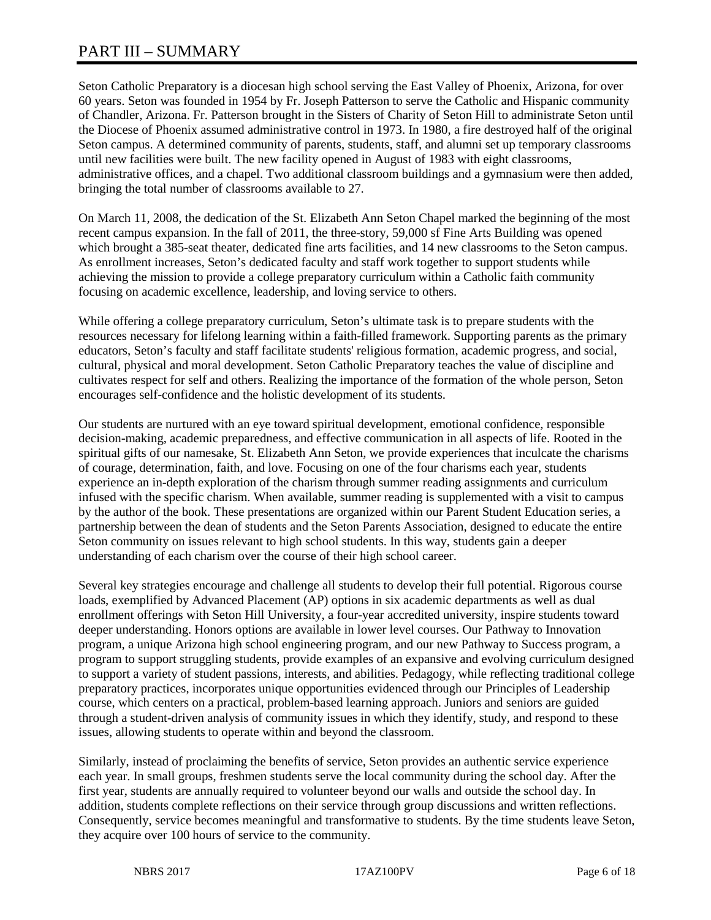# PART III – SUMMARY

Seton Catholic Preparatory is a diocesan high school serving the East Valley of Phoenix, Arizona, for over 60 years. Seton was founded in 1954 by Fr. Joseph Patterson to serve the Catholic and Hispanic community of Chandler, Arizona. Fr. Patterson brought in the Sisters of Charity of Seton Hill to administrate Seton until the Diocese of Phoenix assumed administrative control in 1973. In 1980, a fire destroyed half of the original Seton campus. A determined community of parents, students, staff, and alumni set up temporary classrooms until new facilities were built. The new facility opened in August of 1983 with eight classrooms, administrative offices, and a chapel. Two additional classroom buildings and a gymnasium were then added, bringing the total number of classrooms available to 27.

On March 11, 2008, the dedication of the St. Elizabeth Ann Seton Chapel marked the beginning of the most recent campus expansion. In the fall of 2011, the three-story, 59,000 sf Fine Arts Building was opened which brought a 385-seat theater, dedicated fine arts facilities, and 14 new classrooms to the Seton campus. As enrollment increases, Seton's dedicated faculty and staff work together to support students while achieving the mission to provide a college preparatory curriculum within a Catholic faith community focusing on academic excellence, leadership, and loving service to others.

While offering a college preparatory curriculum, Seton's ultimate task is to prepare students with the resources necessary for lifelong learning within a faith-filled framework. Supporting parents as the primary educators, Seton's faculty and staff facilitate students' religious formation, academic progress, and social, cultural, physical and moral development. Seton Catholic Preparatory teaches the value of discipline and cultivates respect for self and others. Realizing the importance of the formation of the whole person, Seton encourages self-confidence and the holistic development of its students.

Our students are nurtured with an eye toward spiritual development, emotional confidence, responsible decision-making, academic preparedness, and effective communication in all aspects of life. Rooted in the spiritual gifts of our namesake, St. Elizabeth Ann Seton, we provide experiences that inculcate the charisms of courage, determination, faith, and love. Focusing on one of the four charisms each year, students experience an in-depth exploration of the charism through summer reading assignments and curriculum infused with the specific charism. When available, summer reading is supplemented with a visit to campus by the author of the book. These presentations are organized within our Parent Student Education series, a partnership between the dean of students and the Seton Parents Association, designed to educate the entire Seton community on issues relevant to high school students. In this way, students gain a deeper understanding of each charism over the course of their high school career.

Several key strategies encourage and challenge all students to develop their full potential. Rigorous course loads, exemplified by Advanced Placement (AP) options in six academic departments as well as dual enrollment offerings with Seton Hill University, a four-year accredited university, inspire students toward deeper understanding. Honors options are available in lower level courses. Our Pathway to Innovation program, a unique Arizona high school engineering program, and our new Pathway to Success program, a program to support struggling students, provide examples of an expansive and evolving curriculum designed to support a variety of student passions, interests, and abilities. Pedagogy, while reflecting traditional college preparatory practices, incorporates unique opportunities evidenced through our Principles of Leadership course, which centers on a practical, problem-based learning approach. Juniors and seniors are guided through a student-driven analysis of community issues in which they identify, study, and respond to these issues, allowing students to operate within and beyond the classroom.

Similarly, instead of proclaiming the benefits of service, Seton provides an authentic service experience each year. In small groups, freshmen students serve the local community during the school day. After the first year, students are annually required to volunteer beyond our walls and outside the school day. In addition, students complete reflections on their service through group discussions and written reflections. Consequently, service becomes meaningful and transformative to students. By the time students leave Seton, they acquire over 100 hours of service to the community.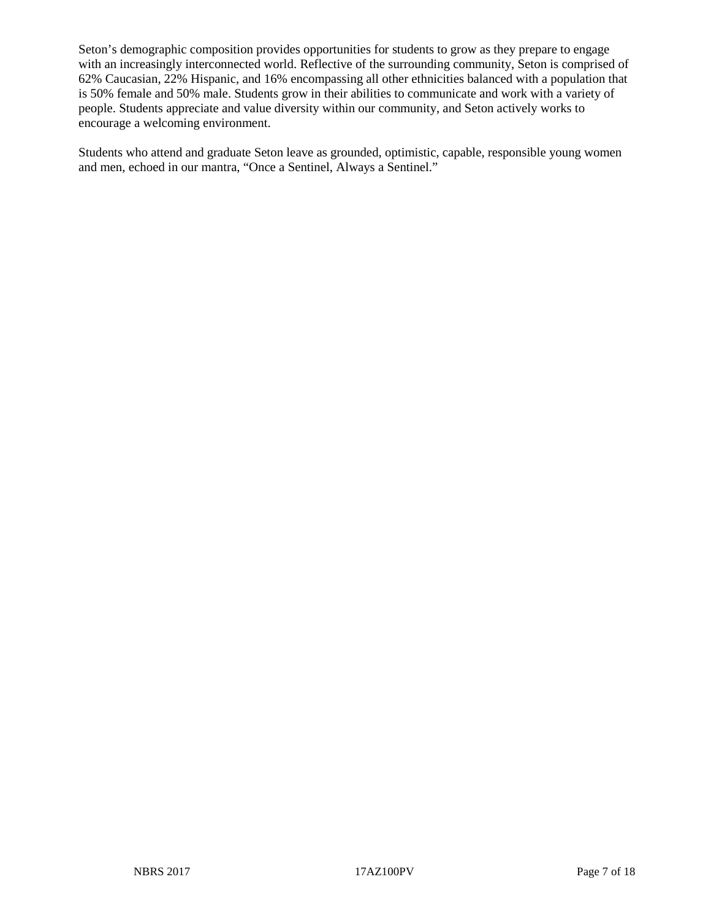Seton's demographic composition provides opportunities for students to grow as they prepare to engage with an increasingly interconnected world. Reflective of the surrounding community, Seton is comprised of 62% Caucasian, 22% Hispanic, and 16% encompassing all other ethnicities balanced with a population that is 50% female and 50% male. Students grow in their abilities to communicate and work with a variety of people. Students appreciate and value diversity within our community, and Seton actively works to encourage a welcoming environment.

Students who attend and graduate Seton leave as grounded, optimistic, capable, responsible young women and men, echoed in our mantra, "Once a Sentinel, Always a Sentinel."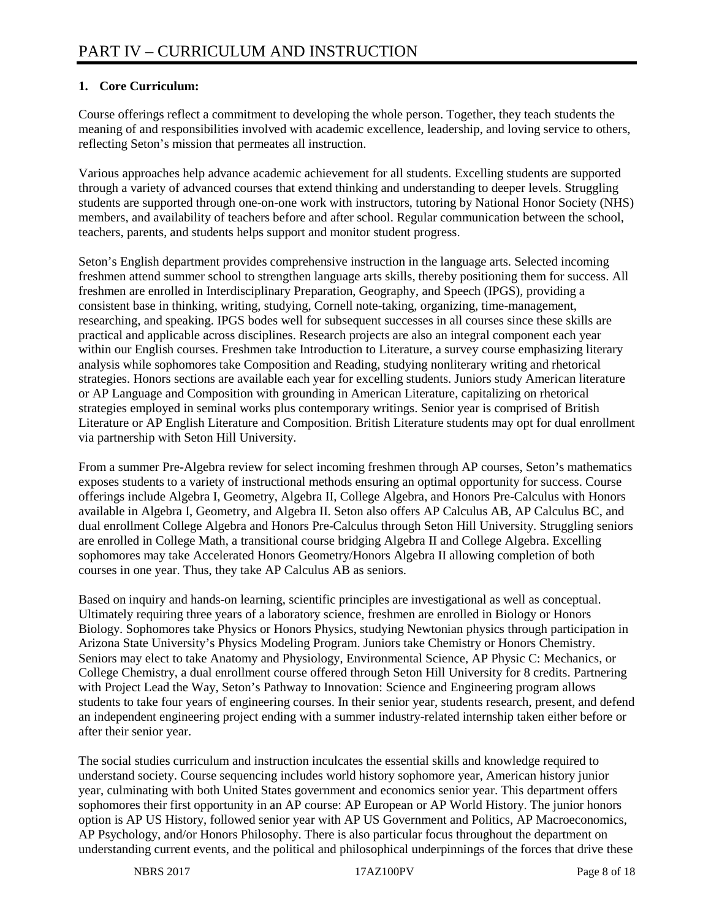## **1. Core Curriculum:**

Course offerings reflect a commitment to developing the whole person. Together, they teach students the meaning of and responsibilities involved with academic excellence, leadership, and loving service to others, reflecting Seton's mission that permeates all instruction.

Various approaches help advance academic achievement for all students. Excelling students are supported through a variety of advanced courses that extend thinking and understanding to deeper levels. Struggling students are supported through one-on-one work with instructors, tutoring by National Honor Society (NHS) members, and availability of teachers before and after school. Regular communication between the school, teachers, parents, and students helps support and monitor student progress.

Seton's English department provides comprehensive instruction in the language arts. Selected incoming freshmen attend summer school to strengthen language arts skills, thereby positioning them for success. All freshmen are enrolled in Interdisciplinary Preparation, Geography, and Speech (IPGS), providing a consistent base in thinking, writing, studying, Cornell note-taking, organizing, time-management, researching, and speaking. IPGS bodes well for subsequent successes in all courses since these skills are practical and applicable across disciplines. Research projects are also an integral component each year within our English courses. Freshmen take Introduction to Literature, a survey course emphasizing literary analysis while sophomores take Composition and Reading, studying nonliterary writing and rhetorical strategies. Honors sections are available each year for excelling students. Juniors study American literature or AP Language and Composition with grounding in American Literature, capitalizing on rhetorical strategies employed in seminal works plus contemporary writings. Senior year is comprised of British Literature or AP English Literature and Composition. British Literature students may opt for dual enrollment via partnership with Seton Hill University.

From a summer Pre-Algebra review for select incoming freshmen through AP courses, Seton's mathematics exposes students to a variety of instructional methods ensuring an optimal opportunity for success. Course offerings include Algebra I, Geometry, Algebra II, College Algebra, and Honors Pre-Calculus with Honors available in Algebra I, Geometry, and Algebra II. Seton also offers AP Calculus AB, AP Calculus BC, and dual enrollment College Algebra and Honors Pre-Calculus through Seton Hill University. Struggling seniors are enrolled in College Math, a transitional course bridging Algebra II and College Algebra. Excelling sophomores may take Accelerated Honors Geometry/Honors Algebra II allowing completion of both courses in one year. Thus, they take AP Calculus AB as seniors.

Based on inquiry and hands-on learning, scientific principles are investigational as well as conceptual. Ultimately requiring three years of a laboratory science, freshmen are enrolled in Biology or Honors Biology. Sophomores take Physics or Honors Physics, studying Newtonian physics through participation in Arizona State University's Physics Modeling Program. Juniors take Chemistry or Honors Chemistry. Seniors may elect to take Anatomy and Physiology, Environmental Science, AP Physic C: Mechanics, or College Chemistry, a dual enrollment course offered through Seton Hill University for 8 credits. Partnering with Project Lead the Way, Seton's Pathway to Innovation: Science and Engineering program allows students to take four years of engineering courses. In their senior year, students research, present, and defend an independent engineering project ending with a summer industry-related internship taken either before or after their senior year.

The social studies curriculum and instruction inculcates the essential skills and knowledge required to understand society. Course sequencing includes world history sophomore year, American history junior year, culminating with both United States government and economics senior year. This department offers sophomores their first opportunity in an AP course: AP European or AP World History. The junior honors option is AP US History, followed senior year with AP US Government and Politics, AP Macroeconomics, AP Psychology, and/or Honors Philosophy. There is also particular focus throughout the department on understanding current events, and the political and philosophical underpinnings of the forces that drive these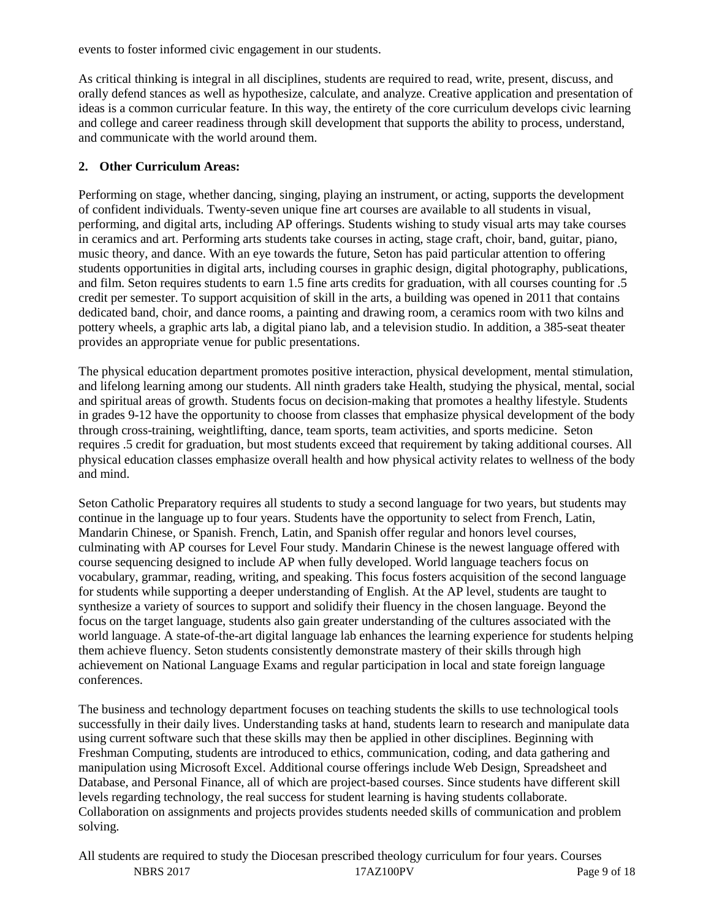events to foster informed civic engagement in our students.

As critical thinking is integral in all disciplines, students are required to read, write, present, discuss, and orally defend stances as well as hypothesize, calculate, and analyze. Creative application and presentation of ideas is a common curricular feature. In this way, the entirety of the core curriculum develops civic learning and college and career readiness through skill development that supports the ability to process, understand, and communicate with the world around them.

### **2. Other Curriculum Areas:**

Performing on stage, whether dancing, singing, playing an instrument, or acting, supports the development of confident individuals. Twenty-seven unique fine art courses are available to all students in visual, performing, and digital arts, including AP offerings. Students wishing to study visual arts may take courses in ceramics and art. Performing arts students take courses in acting, stage craft, choir, band, guitar, piano, music theory, and dance. With an eye towards the future, Seton has paid particular attention to offering students opportunities in digital arts, including courses in graphic design, digital photography, publications, and film. Seton requires students to earn 1.5 fine arts credits for graduation, with all courses counting for .5 credit per semester. To support acquisition of skill in the arts, a building was opened in 2011 that contains dedicated band, choir, and dance rooms, a painting and drawing room, a ceramics room with two kilns and pottery wheels, a graphic arts lab, a digital piano lab, and a television studio. In addition, a 385-seat theater provides an appropriate venue for public presentations.

The physical education department promotes positive interaction, physical development, mental stimulation, and lifelong learning among our students. All ninth graders take Health, studying the physical, mental, social and spiritual areas of growth. Students focus on decision-making that promotes a healthy lifestyle. Students in grades 9-12 have the opportunity to choose from classes that emphasize physical development of the body through cross-training, weightlifting, dance, team sports, team activities, and sports medicine. Seton requires .5 credit for graduation, but most students exceed that requirement by taking additional courses. All physical education classes emphasize overall health and how physical activity relates to wellness of the body and mind.

Seton Catholic Preparatory requires all students to study a second language for two years, but students may continue in the language up to four years. Students have the opportunity to select from French, Latin, Mandarin Chinese, or Spanish. French, Latin, and Spanish offer regular and honors level courses, culminating with AP courses for Level Four study. Mandarin Chinese is the newest language offered with course sequencing designed to include AP when fully developed. World language teachers focus on vocabulary, grammar, reading, writing, and speaking. This focus fosters acquisition of the second language for students while supporting a deeper understanding of English. At the AP level, students are taught to synthesize a variety of sources to support and solidify their fluency in the chosen language. Beyond the focus on the target language, students also gain greater understanding of the cultures associated with the world language. A state-of-the-art digital language lab enhances the learning experience for students helping them achieve fluency. Seton students consistently demonstrate mastery of their skills through high achievement on National Language Exams and regular participation in local and state foreign language conferences.

The business and technology department focuses on teaching students the skills to use technological tools successfully in their daily lives. Understanding tasks at hand, students learn to research and manipulate data using current software such that these skills may then be applied in other disciplines. Beginning with Freshman Computing, students are introduced to ethics, communication, coding, and data gathering and manipulation using Microsoft Excel. Additional course offerings include Web Design, Spreadsheet and Database, and Personal Finance, all of which are project-based courses. Since students have different skill levels regarding technology, the real success for student learning is having students collaborate. Collaboration on assignments and projects provides students needed skills of communication and problem solving.

NBRS 2017 **17AZ100PV** Page 9 of 18 All students are required to study the Diocesan prescribed theology curriculum for four years. Courses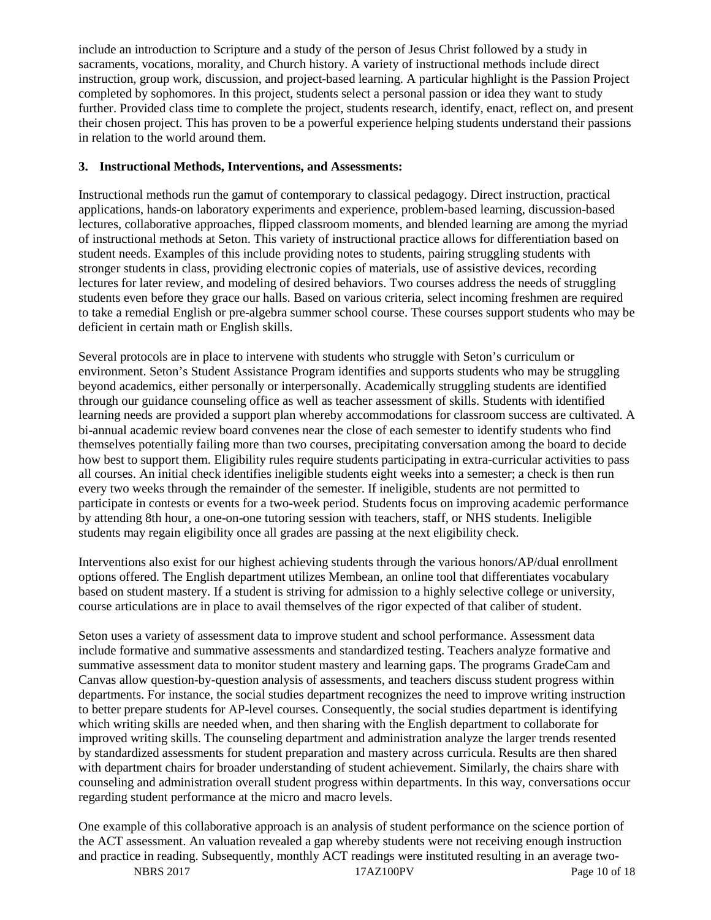include an introduction to Scripture and a study of the person of Jesus Christ followed by a study in sacraments, vocations, morality, and Church history. A variety of instructional methods include direct instruction, group work, discussion, and project-based learning. A particular highlight is the Passion Project completed by sophomores. In this project, students select a personal passion or idea they want to study further. Provided class time to complete the project, students research, identify, enact, reflect on, and present their chosen project. This has proven to be a powerful experience helping students understand their passions in relation to the world around them.

#### **3. Instructional Methods, Interventions, and Assessments:**

Instructional methods run the gamut of contemporary to classical pedagogy. Direct instruction, practical applications, hands-on laboratory experiments and experience, problem-based learning, discussion-based lectures, collaborative approaches, flipped classroom moments, and blended learning are among the myriad of instructional methods at Seton. This variety of instructional practice allows for differentiation based on student needs. Examples of this include providing notes to students, pairing struggling students with stronger students in class, providing electronic copies of materials, use of assistive devices, recording lectures for later review, and modeling of desired behaviors. Two courses address the needs of struggling students even before they grace our halls. Based on various criteria, select incoming freshmen are required to take a remedial English or pre-algebra summer school course. These courses support students who may be deficient in certain math or English skills.

Several protocols are in place to intervene with students who struggle with Seton's curriculum or environment. Seton's Student Assistance Program identifies and supports students who may be struggling beyond academics, either personally or interpersonally. Academically struggling students are identified through our guidance counseling office as well as teacher assessment of skills. Students with identified learning needs are provided a support plan whereby accommodations for classroom success are cultivated. A bi-annual academic review board convenes near the close of each semester to identify students who find themselves potentially failing more than two courses, precipitating conversation among the board to decide how best to support them. Eligibility rules require students participating in extra-curricular activities to pass all courses. An initial check identifies ineligible students eight weeks into a semester; a check is then run every two weeks through the remainder of the semester. If ineligible, students are not permitted to participate in contests or events for a two-week period. Students focus on improving academic performance by attending 8th hour, a one-on-one tutoring session with teachers, staff, or NHS students. Ineligible students may regain eligibility once all grades are passing at the next eligibility check.

Interventions also exist for our highest achieving students through the various honors/AP/dual enrollment options offered. The English department utilizes Membean, an online tool that differentiates vocabulary based on student mastery. If a student is striving for admission to a highly selective college or university, course articulations are in place to avail themselves of the rigor expected of that caliber of student.

Seton uses a variety of assessment data to improve student and school performance. Assessment data include formative and summative assessments and standardized testing. Teachers analyze formative and summative assessment data to monitor student mastery and learning gaps. The programs GradeCam and Canvas allow question-by-question analysis of assessments, and teachers discuss student progress within departments. For instance, the social studies department recognizes the need to improve writing instruction to better prepare students for AP-level courses. Consequently, the social studies department is identifying which writing skills are needed when, and then sharing with the English department to collaborate for improved writing skills. The counseling department and administration analyze the larger trends resented by standardized assessments for student preparation and mastery across curricula. Results are then shared with department chairs for broader understanding of student achievement. Similarly, the chairs share with counseling and administration overall student progress within departments. In this way, conversations occur regarding student performance at the micro and macro levels.

NBRS 2017 17AZ100PV Page 10 of 18 One example of this collaborative approach is an analysis of student performance on the science portion of the ACT assessment. An valuation revealed a gap whereby students were not receiving enough instruction and practice in reading. Subsequently, monthly ACT readings were instituted resulting in an average two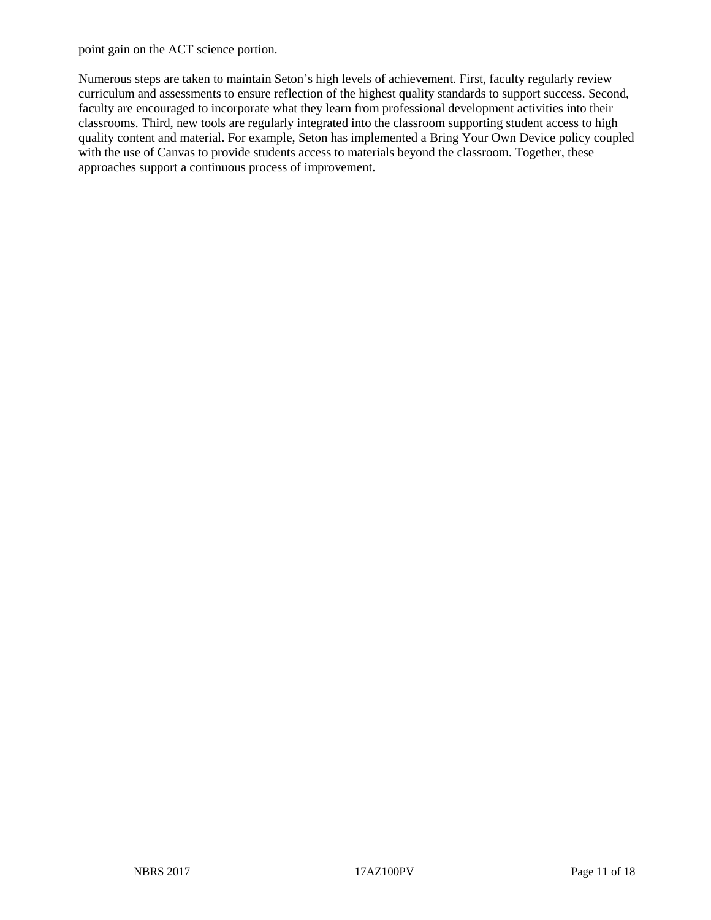point gain on the ACT science portion.

Numerous steps are taken to maintain Seton's high levels of achievement. First, faculty regularly review curriculum and assessments to ensure reflection of the highest quality standards to support success. Second, faculty are encouraged to incorporate what they learn from professional development activities into their classrooms. Third, new tools are regularly integrated into the classroom supporting student access to high quality content and material. For example, Seton has implemented a Bring Your Own Device policy coupled with the use of Canvas to provide students access to materials beyond the classroom. Together, these approaches support a continuous process of improvement.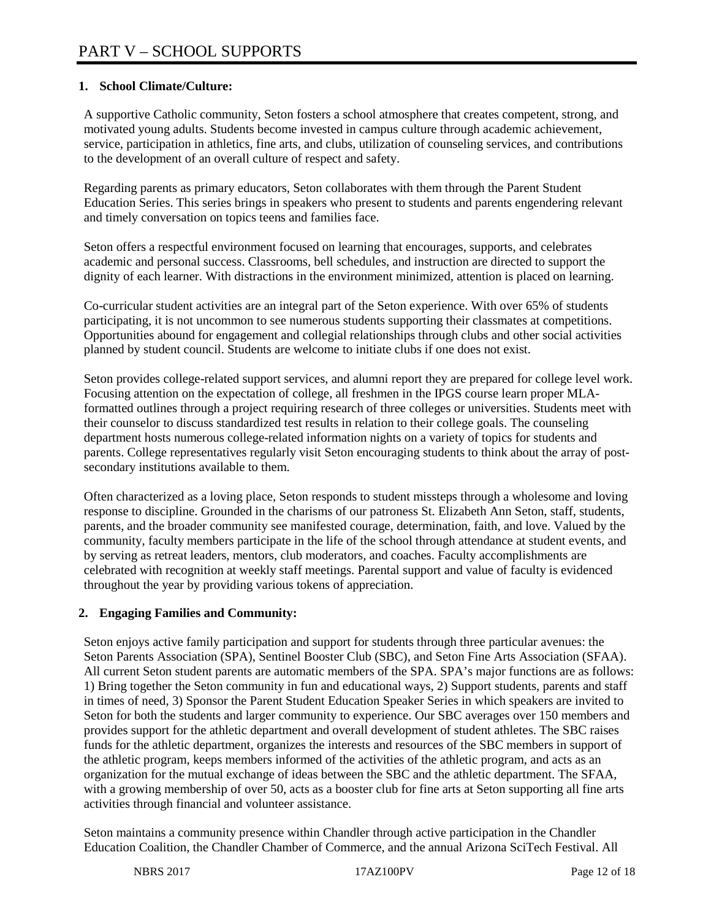## **1. School Climate/Culture:**

A supportive Catholic community, Seton fosters a school atmosphere that creates competent, strong, and motivated young adults. Students become invested in campus culture through academic achievement, service, participation in athletics, fine arts, and clubs, utilization of counseling services, and contributions to the development of an overall culture of respect and safety.

Regarding parents as primary educators, Seton collaborates with them through the Parent Student Education Series. This series brings in speakers who present to students and parents engendering relevant and timely conversation on topics teens and families face.

Seton offers a respectful environment focused on learning that encourages, supports, and celebrates academic and personal success. Classrooms, bell schedules, and instruction are directed to support the dignity of each learner. With distractions in the environment minimized, attention is placed on learning.

Co-curricular student activities are an integral part of the Seton experience. With over 65% of students participating, it is not uncommon to see numerous students supporting their classmates at competitions. Opportunities abound for engagement and collegial relationships through clubs and other social activities planned by student council. Students are welcome to initiate clubs if one does not exist.

Seton provides college-related support services, and alumni report they are prepared for college level work. Focusing attention on the expectation of college, all freshmen in the IPGS course learn proper MLAformatted outlines through a project requiring research of three colleges or universities. Students meet with their counselor to discuss standardized test results in relation to their college goals. The counseling department hosts numerous college-related information nights on a variety of topics for students and parents. College representatives regularly visit Seton encouraging students to think about the array of postsecondary institutions available to them.

Often characterized as a loving place, Seton responds to student missteps through a wholesome and loving response to discipline. Grounded in the charisms of our patroness St. Elizabeth Ann Seton, staff, students, parents, and the broader community see manifested courage, determination, faith, and love. Valued by the community, faculty members participate in the life of the school through attendance at student events, and by serving as retreat leaders, mentors, club moderators, and coaches. Faculty accomplishments are celebrated with recognition at weekly staff meetings. Parental support and value of faculty is evidenced throughout the year by providing various tokens of appreciation.

# **2. Engaging Families and Community:**

Seton enjoys active family participation and support for students through three particular avenues: the Seton Parents Association (SPA), Sentinel Booster Club (SBC), and Seton Fine Arts Association (SFAA). All current Seton student parents are automatic members of the SPA. SPA's major functions are as follows: 1) Bring together the Seton community in fun and educational ways, 2) Support students, parents and staff in times of need, 3) Sponsor the Parent Student Education Speaker Series in which speakers are invited to Seton for both the students and larger community to experience. Our SBC averages over 150 members and provides support for the athletic department and overall development of student athletes. The SBC raises funds for the athletic department, organizes the interests and resources of the SBC members in support of the athletic program, keeps members informed of the activities of the athletic program, and acts as an organization for the mutual exchange of ideas between the SBC and the athletic department. The SFAA, with a growing membership of over 50, acts as a booster club for fine arts at Seton supporting all fine arts activities through financial and volunteer assistance.

Seton maintains a community presence within Chandler through active participation in the Chandler Education Coalition, the Chandler Chamber of Commerce, and the annual Arizona SciTech Festival. All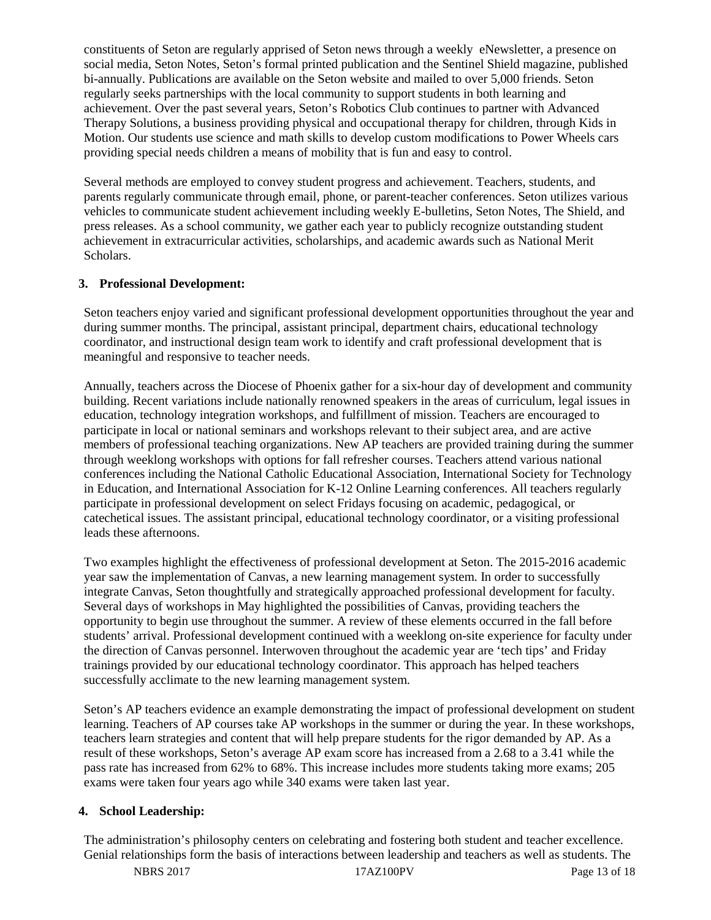constituents of Seton are regularly apprised of Seton news through a weekly eNewsletter, a presence on social media, Seton Notes, Seton's formal printed publication and the Sentinel Shield magazine, published bi-annually. Publications are available on the Seton website and mailed to over 5,000 friends. Seton regularly seeks partnerships with the local community to support students in both learning and achievement. Over the past several years, Seton's Robotics Club continues to partner with Advanced Therapy Solutions, a business providing physical and occupational therapy for children, through Kids in Motion. Our students use science and math skills to develop custom modifications to Power Wheels cars providing special needs children a means of mobility that is fun and easy to control.

Several methods are employed to convey student progress and achievement. Teachers, students, and parents regularly communicate through email, phone, or parent-teacher conferences. Seton utilizes various vehicles to communicate student achievement including weekly E-bulletins, Seton Notes, The Shield, and press releases. As a school community, we gather each year to publicly recognize outstanding student achievement in extracurricular activities, scholarships, and academic awards such as National Merit Scholars.

## **3. Professional Development:**

Seton teachers enjoy varied and significant professional development opportunities throughout the year and during summer months. The principal, assistant principal, department chairs, educational technology coordinator, and instructional design team work to identify and craft professional development that is meaningful and responsive to teacher needs.

Annually, teachers across the Diocese of Phoenix gather for a six-hour day of development and community building. Recent variations include nationally renowned speakers in the areas of curriculum, legal issues in education, technology integration workshops, and fulfillment of mission. Teachers are encouraged to participate in local or national seminars and workshops relevant to their subject area, and are active members of professional teaching organizations. New AP teachers are provided training during the summer through weeklong workshops with options for fall refresher courses. Teachers attend various national conferences including the National Catholic Educational Association, International Society for Technology in Education, and International Association for K-12 Online Learning conferences. All teachers regularly participate in professional development on select Fridays focusing on academic, pedagogical, or catechetical issues. The assistant principal, educational technology coordinator, or a visiting professional leads these afternoons.

Two examples highlight the effectiveness of professional development at Seton. The 2015-2016 academic year saw the implementation of Canvas, a new learning management system. In order to successfully integrate Canvas, Seton thoughtfully and strategically approached professional development for faculty. Several days of workshops in May highlighted the possibilities of Canvas, providing teachers the opportunity to begin use throughout the summer. A review of these elements occurred in the fall before students' arrival. Professional development continued with a weeklong on-site experience for faculty under the direction of Canvas personnel. Interwoven throughout the academic year are 'tech tips' and Friday trainings provided by our educational technology coordinator. This approach has helped teachers successfully acclimate to the new learning management system.

Seton's AP teachers evidence an example demonstrating the impact of professional development on student learning. Teachers of AP courses take AP workshops in the summer or during the year. In these workshops, teachers learn strategies and content that will help prepare students for the rigor demanded by AP. As a result of these workshops, Seton's average AP exam score has increased from a 2.68 to a 3.41 while the pass rate has increased from 62% to 68%. This increase includes more students taking more exams; 205 exams were taken four years ago while 340 exams were taken last year.

#### **4. School Leadership:**

The administration's philosophy centers on celebrating and fostering both student and teacher excellence. Genial relationships form the basis of interactions between leadership and teachers as well as students. The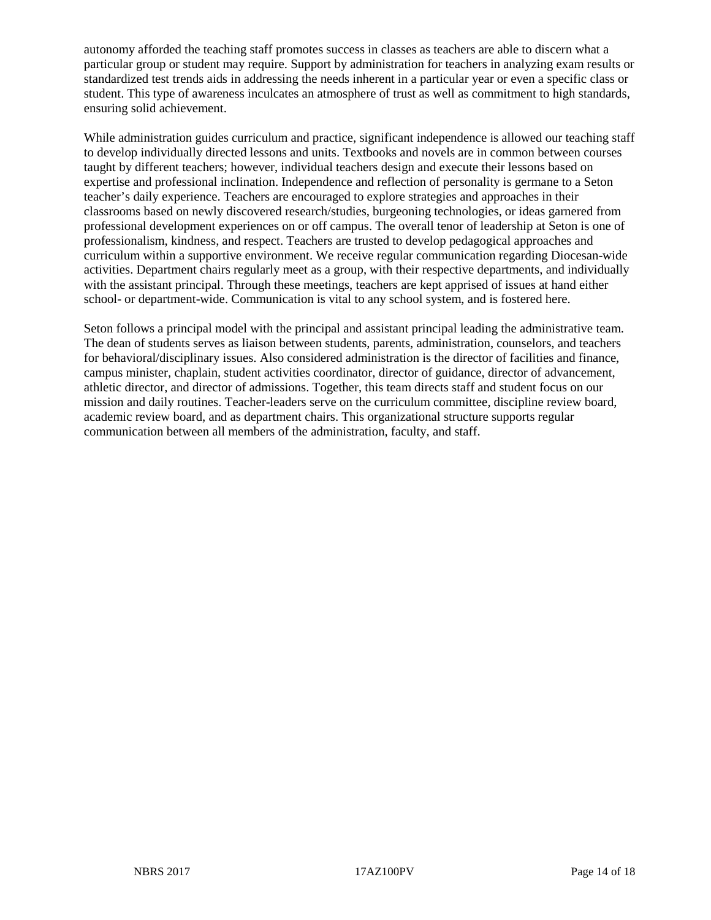autonomy afforded the teaching staff promotes success in classes as teachers are able to discern what a particular group or student may require. Support by administration for teachers in analyzing exam results or standardized test trends aids in addressing the needs inherent in a particular year or even a specific class or student. This type of awareness inculcates an atmosphere of trust as well as commitment to high standards, ensuring solid achievement.

While administration guides curriculum and practice, significant independence is allowed our teaching staff to develop individually directed lessons and units. Textbooks and novels are in common between courses taught by different teachers; however, individual teachers design and execute their lessons based on expertise and professional inclination. Independence and reflection of personality is germane to a Seton teacher's daily experience. Teachers are encouraged to explore strategies and approaches in their classrooms based on newly discovered research/studies, burgeoning technologies, or ideas garnered from professional development experiences on or off campus. The overall tenor of leadership at Seton is one of professionalism, kindness, and respect. Teachers are trusted to develop pedagogical approaches and curriculum within a supportive environment. We receive regular communication regarding Diocesan-wide activities. Department chairs regularly meet as a group, with their respective departments, and individually with the assistant principal. Through these meetings, teachers are kept apprised of issues at hand either school- or department-wide. Communication is vital to any school system, and is fostered here.

Seton follows a principal model with the principal and assistant principal leading the administrative team. The dean of students serves as liaison between students, parents, administration, counselors, and teachers for behavioral/disciplinary issues. Also considered administration is the director of facilities and finance, campus minister, chaplain, student activities coordinator, director of guidance, director of advancement, athletic director, and director of admissions. Together, this team directs staff and student focus on our mission and daily routines. Teacher-leaders serve on the curriculum committee, discipline review board, academic review board, and as department chairs. This organizational structure supports regular communication between all members of the administration, faculty, and staff.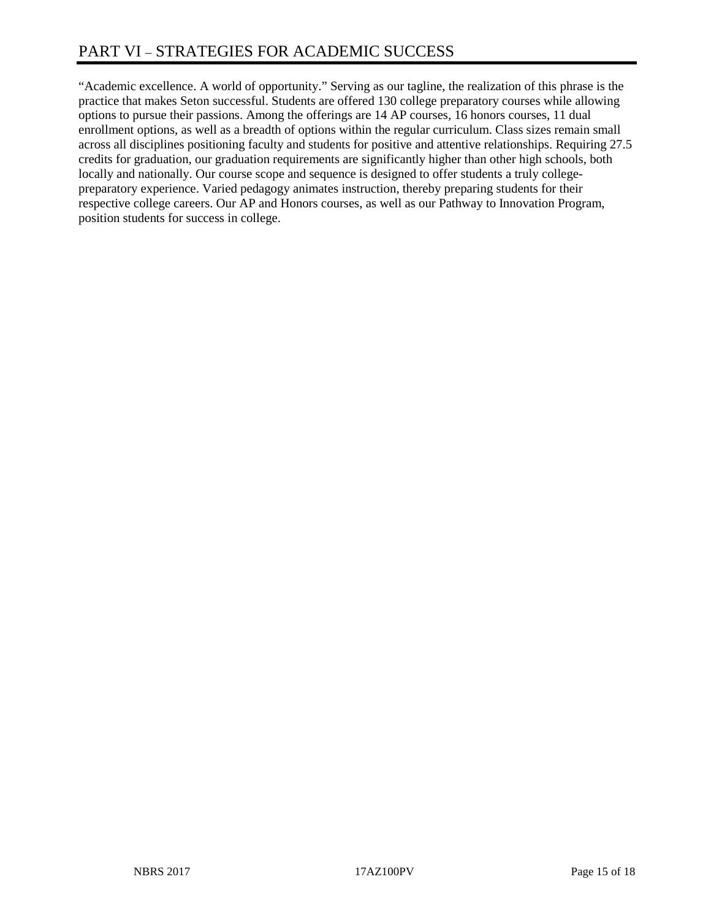"Academic excellence. A world of opportunity." Serving as our tagline, the realization of this phrase is the practice that makes Seton successful. Students are offered 130 college preparatory courses while allowing options to pursue their passions. Among the offerings are 14 AP courses, 16 honors courses, 11 dual enrollment options, as well as a breadth of options within the regular curriculum. Class sizes remain small across all disciplines positioning faculty and students for positive and attentive relationships. Requiring 27.5 credits for graduation, our graduation requirements are significantly higher than other high schools, both locally and nationally. Our course scope and sequence is designed to offer students a truly collegepreparatory experience. Varied pedagogy animates instruction, thereby preparing students for their respective college careers. Our AP and Honors courses, as well as our Pathway to Innovation Program, position students for success in college.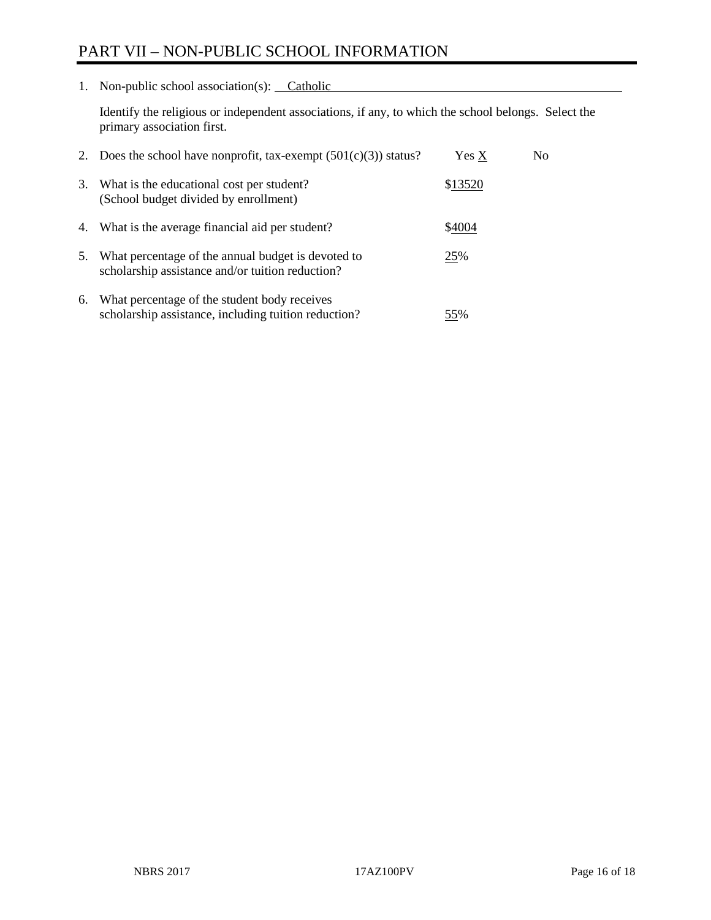# PART VII – NON-PUBLIC SCHOOL INFORMATION

1. Non-public school association(s): Catholic

Identify the religious or independent associations, if any, to which the school belongs. Select the primary association first.

| 2. | Does the school have nonprofit, tax-exempt $(501(c)(3))$ status?                                       | Yes X   | No. |
|----|--------------------------------------------------------------------------------------------------------|---------|-----|
| 3. | What is the educational cost per student?<br>(School budget divided by enrollment)                     | \$13520 |     |
| 4. | What is the average financial aid per student?                                                         | \$4004  |     |
| 5. | What percentage of the annual budget is devoted to<br>scholarship assistance and/or tuition reduction? | 25%     |     |
| 6. | What percentage of the student body receives<br>scholarship assistance, including tuition reduction?   | 55%     |     |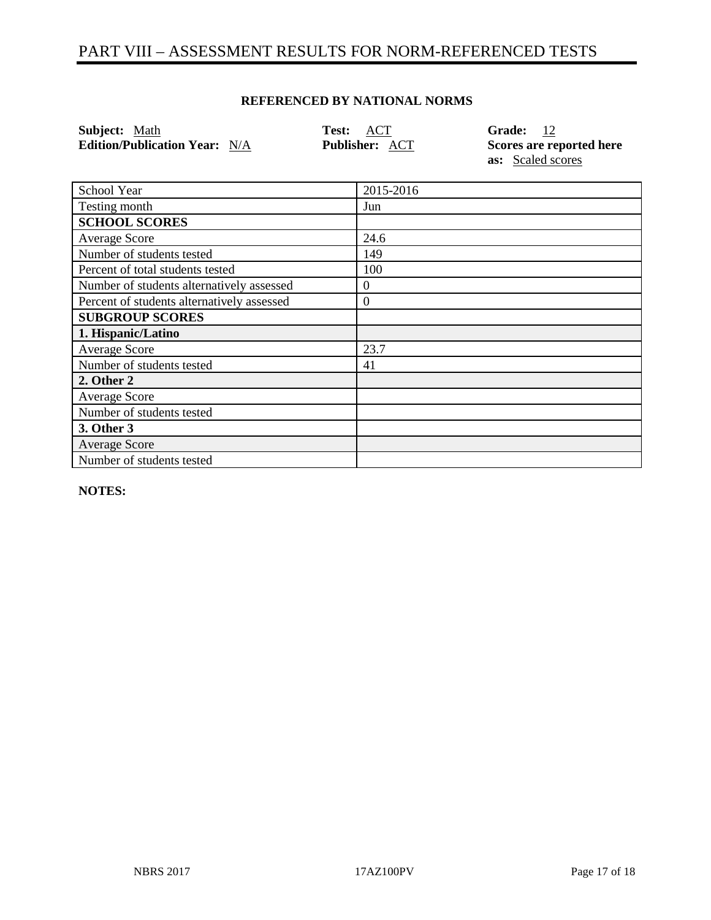# PART VIII – ASSESSMENT RESULTS FOR NORM-REFERENCED TESTS

#### **REFERENCED BY NATIONAL NORMS**

| <b>Subject:</b> Math                 | <b>Test:</b> ACT      | Grade: 12                |
|--------------------------------------|-----------------------|--------------------------|
| <b>Edition/Publication Year:</b> N/A | <b>Publisher: ACT</b> | Scores are reported here |
|                                      |                       | <b>as:</b> Scaled scores |

| School Year                                | 2015-2016 |
|--------------------------------------------|-----------|
| Testing month                              | Jun       |
| <b>SCHOOL SCORES</b>                       |           |
| Average Score                              | 24.6      |
| Number of students tested                  | 149       |
| Percent of total students tested           | 100       |
| Number of students alternatively assessed  | 0         |
| Percent of students alternatively assessed | 0         |
| <b>SUBGROUP SCORES</b>                     |           |
| 1. Hispanic/Latino                         |           |
| <b>Average Score</b>                       | 23.7      |
| Number of students tested                  | 41        |
| 2. Other 2                                 |           |
| Average Score                              |           |
| Number of students tested                  |           |
| 3. Other 3                                 |           |
| <b>Average Score</b>                       |           |
| Number of students tested                  |           |

**NOTES:**